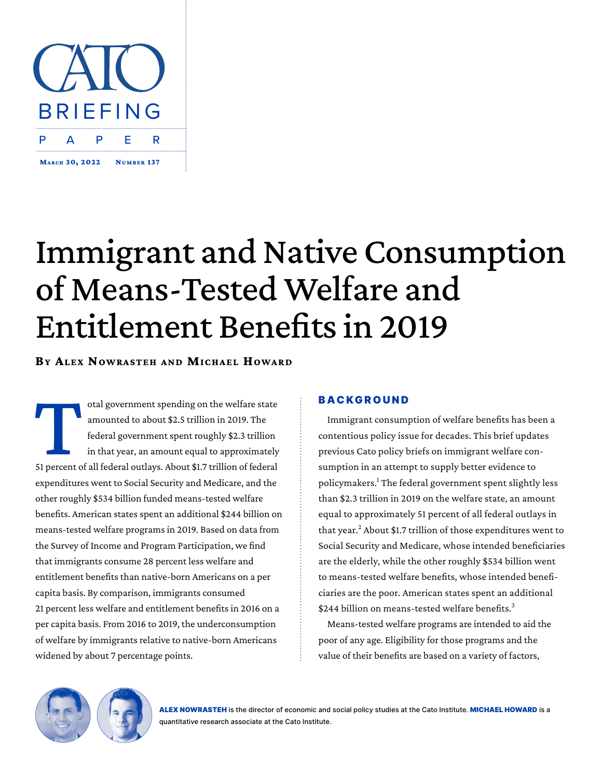

# Immigrant and Native Consumption of Means-Tested Welfare and Entitlement Benefits in 2019

**BY ALEX NOWRASTEH AND MICHAEL HOWARD** 

otal government spending on the welfare state<br>
amounted to about \$2.5 trillion in 2019. The<br>
federal government spent roughly \$2.3 trillion<br>
in that year, an amount equal to approximately<br>
51 percent of all federal outlays amounted to about \$2.5 trillion in 2019. The federal government spent roughly \$2.3 trillion in that year, an amount equal to approximately expenditures went to Social Security and Medicare, and the other roughly \$534 billion funded means-tested welfare benefits. American states spent an additional \$244 billion on means-tested welfare programs in 2019. Based on data from the Survey of Income and Program Participation, we find that immigrants consume 28 percent less welfare and entitlement benefits than native-born Americans on a per capita basis. By comparison, immigrants consumed 21 percent less welfare and entitlement benefits in 2016 on a per capita basis. From 2016 to 2019, the underconsumption of welfare by immigrants relative to native-born Americans widened by about 7 percentage points.

# **BACKGROUND**

Immigrant consumption of welfare benefits has been a contentious policy issue for decades. This brief updates previous Cato policy briefs on immigrant welfare consumption in an attempt to supply better evidence to policymakers.<sup>1</sup> The federal government spent slightly less than \$2.3 trillion in 2019 on the welfare state, an amount equal to approximately 51 percent of all federal outlays in that year.<sup>2</sup> About \$1.7 trillion of those expenditures went to Social Security and Medicare, whose intended beneficiaries are the elderly, while the other roughly \$534 billion went to means-tested welfare benefits, whose intended beneficiaries are the poor. American states spent an additional \$244 billion on means-tested welfare benefits.<sup>3</sup>

Means-tested welfare programs are intended to aid the poor of any age. Eligibility for those programs and the value of their benefits are based on a variety of factors,

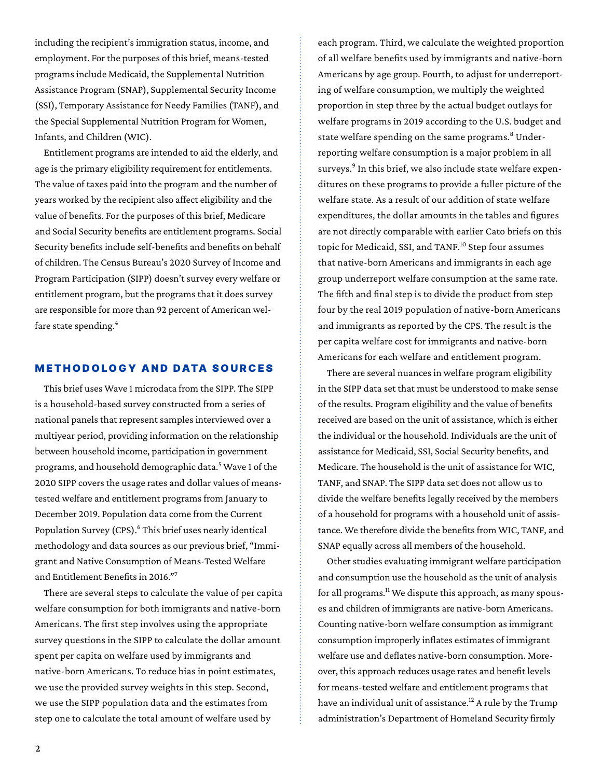including the recipient's immigration status, income, and employment. For the purposes of this brief, means-tested programs include Medicaid, the Supplemental Nutrition Assistance Program (SNAP), Supplemental Security Income (SSI), Temporary Assistance for Needy Families (TANF), and the Special Supplemental Nutrition Program for Women, Infants, and Children (WIC).

Entitlement programs are intended to aid the elderly, and age is the primary eligibility requirement for entitlements. The value of taxes paid into the program and the number of years worked by the recipient also affect eligibility and the value of benefits. For the purposes of this brief, Medicare and Social Security benefits are entitlement programs. Social Security benefits include self-benefits and benefits on behalf of children. The Census Bureau's 2020 Survey of Income and Program Participation (SIPP) doesn't survey every welfare or entitlement program, but the programs that it does survey are responsible for more than 92 percent of American welfare state spending.<sup>4</sup>

## METHODOLOGY AND DATA SOURCES

This brief uses Wave 1 microdata from the SIPP. The SIPP is a household-based survey constructed from a series of national panels that represent samples interviewed over a multiyear period, providing information on the relationship between household income, participation in government programs, and household demographic data.<sup>5</sup> Wave 1 of the 2020 SIPP covers the usage rates and dollar values of meanstested welfare and entitlement programs from January to December 2019. Population data come from the Current Population Survey (CPS).<sup>6</sup> This brief uses nearly identical methodology and data sources as our previous brief, ["Immi](https://www.cato.org/publications/immigration-research-policy-brief/immigrant-native-consumption-means-tested-welfare)[grant and Native Consumption of Means-Tested Welfare](https://www.cato.org/publications/immigration-research-policy-brief/immigrant-native-consumption-means-tested-welfare)  [and Entitlement Benefits in 2016](https://www.cato.org/publications/immigration-research-policy-brief/immigrant-native-consumption-means-tested-welfare)."<sup>7</sup>

There are several steps to calculate the value of per capita welfare consumption for both immigrants and native-born Americans. The first step involves using the appropriate survey questions in the SIPP to calculate the dollar amount spent per capita on welfare used by immigrants and native-born Americans. To reduce bias in point estimates, we use the provided survey weights in this step. Second, we use the SIPP population data and the estimates from step one to calculate the total amount of welfare used by

each program. Third, we calculate the weighted proportion of all welfare benefits used by immigrants and native-born Americans by age group. Fourth, to adjust for underreporting of welfare consumption, we multiply the weighted proportion in step three by the actual budget outlays for welfare programs in 2019 according to the U.S. budget and state welfare spending on the same programs.<sup>8</sup> Underreporting welfare consumption is a major problem in all surveys.<sup>9</sup> In this brief, we also include state welfare expenditures on these programs to provide a fuller picture of the welfare state. As a result of our addition of state welfare expenditures, the dollar amounts in the tables and figures are not directly comparable with earlier Cato briefs on this topic for Medicaid, SSI, and TANF.<sup>10</sup> Step four assumes that native-born Americans and immigrants in each age group underreport welfare consumption at the same rate. The fifth and final step is to divide the product from step four by the real 2019 population of native-born Americans and immigrants as reported by the CPS. The result is the per capita welfare cost for immigrants and native-born Americans for each welfare and entitlement program.

There are several nuances in welfare program eligibility in the SIPP data set that must be understood to make sense of the results. Program eligibility and the value of benefits received are based on the unit of assistance, which is either the individual or the household. Individuals are the unit of assistance for Medicaid, SSI, Social Security benefits, and Medicare. The household is the unit of assistance for WIC, TANF, and SNAP. The SIPP data set does not allow us to divide the welfare benefits legally received by the members of a household for programs with a household unit of assistance. We therefore divide the benefits from WIC, TANF, and SNAP equally across all members of the household.

Other studies evaluating immigrant welfare participation and consumption use the household as the unit of analysis for all programs.<sup>11</sup> We dispute this approach, as many spouses and children of immigrants are native-born Americans. Counting native-born welfare consumption as immigrant consumption improperly inflates estimates of immigrant welfare use and deflates native-born consumption. Moreover, this approach reduces usage rates and benefit levels for means-tested welfare and entitlement programs that have an individual unit of assistance.<sup>12</sup> A rule by the Trump administration's Department of Homeland Security firmly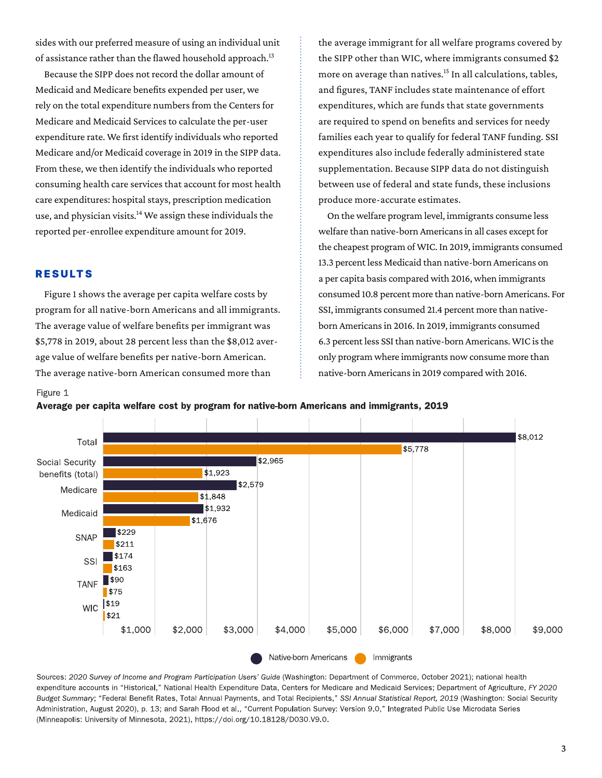sides with our preferred measure of using an individual unit of assistance rather than the flawed household approach.<sup>13</sup>

Because the SIPP does not record the dollar amount of Medicaid and Medicare benefits expended per user, we rely on the total expenditure numbers from the Centers for Medicare and Medicaid Services to calculate the per-user expenditure rate. We first identify individuals who reported Medicare and/or Medicaid coverage in 2019 in the SIPP data. From these, we then identify the individuals who reported consuming health care services that account for most health care expenditures: hospital stays, prescription medication use, and physician visits. $14$  We assign these individuals the reported per-enrollee expenditure amount for 2019.

## RESULTS

Figure 1 shows the average per capita welfare costs by program for all native-born Americans and all immigrants. The average value of welfare benefits per immigrant was \$5,778 in 2019, about 28 percent less than the \$8,012 average value of welfare benefits per native-born American. The average native-born American consumed more than

the average immigrant for all welfare programs covered by the SIPP other than WIC, where immigrants consumed \$2 more on average than natives.<sup>15</sup> In all calculations, tables, and figures, TANF includes state maintenance of effort expenditures, which are funds that state governments are required to spend on benefits and services for needy families each year to qualify for federal TANF funding. SSI expenditures also include federally administered state supplementation. Because SIPP data do not distinguish between use of federal and state funds, these inclusions produce more-accurate estimates.

On the welfare program level, immigrants consume less welfare than native-born Americans in all cases except for the cheapest program of WIC. In 2019, immigrants consumed 13.3 percent less Medicaid than native-born Americans on a per capita basis compared with 2016, when immigrants consumed 10.8 percent more than native-born Americans. For SSI, immigrants consumed 21.4 percent more than nativeborn Americans in 2016. In 2019, immigrants consumed 6.3 percent less SSI than native-born Americans. WIC is the only program where immigrants now consume more than native-born Americans in 2019 compared with 2016.

#### Figure 1

Average per capita welfare cost by program for native-born Americans and immigrants, 2019



Sources: 2020 Survey of Income and Program Participation Users' Guide (Washington: Department of Commerce, October 2021); national health expenditure accounts in "Historical," National Health Expenditure Data, Centers for Medicare and Medicaid Services; Department of Agriculture, FY 2020 Budget Summary; "Federal Benefit Rates, Total Annual Payments, and Total Recipients," SSI Annual Statistical Report, 2019 (Washington: Social Security Administration, August 2020), p. 13; and Sarah Flood et al., "Current Population Survey: Version 9.0," Integrated Public Use Microdata Series (Minneapolis: University of Minnesota, 2021), https://doi.org/10.18128/D030.V9.0.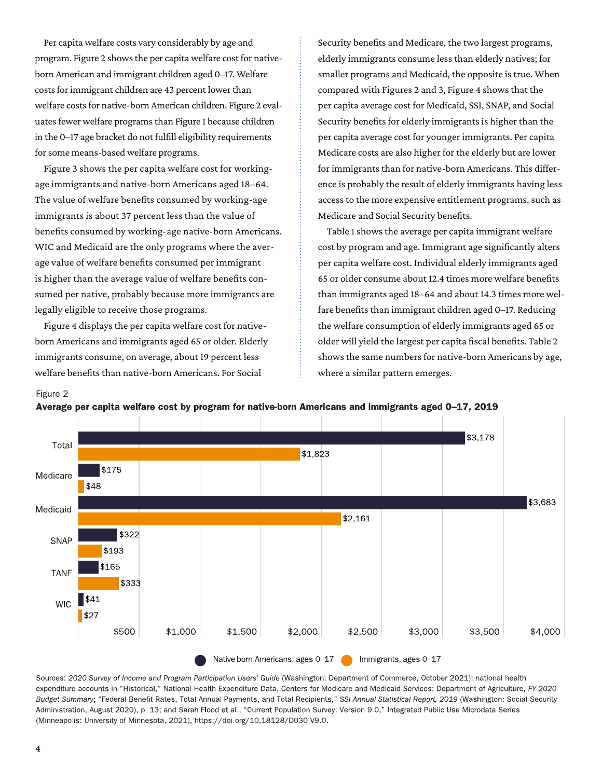Per capita welfare costs vary considerably by age and program. Figure 2 shows the per capita welfare cost for nativeborn American and immigrant children aged 0–17. Welfare costs for immigrant children are 43 percent lower than welfare costs for native-born American children. Figure 2 evaluates fewer welfare programs than Figure 1 because children in the 0–17 age bracket do not fulfill eligibility requirements for some means-based welfare programs.

Figure 3 shows the per capita welfare cost for workingage immigrants and native-born Americans aged 18–64. The value of welfare benefits consumed by working-age immigrants is about 37 percent less than the value of benefits consumed by working-age native-born Americans. WIC and Medicaid are the only programs where the average value of welfare benefits consumed per immigrant is higher than the average value of welfare benefits consumed per native, probably because more immigrants are legally eligible to receive those programs.

Figure 4 displays the per capita welfare cost for nativeborn Americans and immigrants aged 65 or older. Elderly immigrants consume, on average, about 19 percent less welfare benefits than native-born Americans. For Social

Security benefits and Medicare, the two largest programs, elderly immigrants consume less than elderly natives; for smaller programs and Medicaid, the opposite is true. When compared with Figures 2 and 3, Figure 4 shows that the per capita average cost for Medicaid, SSI, SNAP, and Social Security benefits for elderly immigrants is higher than the per capita average cost for younger immigrants. Per capita Medicare costs are also higher for the elderly but are lower for immigrants than for native-born Americans. This difference is probably the result of elderly immigrants having less access to the more expensive entitlement programs, such as Medicare and Social Security benefits.

Table 1 shows the average per capita immigrant welfare cost by program and age. Immigrant age significantly alters per capita welfare cost. Individual elderly immigrants aged 65 or older consume about 12.4 times more welfare benefits than immigrants aged 18–64 and about 14.3 times more welfare benefits than immigrant children aged 0–17. Reducing the welfare consumption of elderly immigrants aged 65 or older will yield the largest per capita fiscal benefits. Table 2 shows the same numbers for native-born Americans by age, where a similar pattern emerges.







Sources: 2020 Survey of Income and Program Participation Users' Guide (Washington: Department of Commerce, October 2021); national health expenditure accounts in "Historical," National Health Expenditure Data, Centers for Medicare and Medicaid Services; Department of Agriculture, FY 2020 Budget Summary; "Federal Benefit Rates, Total Annual Payments, and Total Recipients," SSI Annual Statistical Report, 2019 (Washington: Social Security Administration, August 2020), p. 13; and Sarah Flood et al., "Current Population Survey: Version 9.0," Integrated Public Use Microdata Series (Minneapolis: University of Minnesota, 2021), https://doi.org/10.18128/D030.V9.0.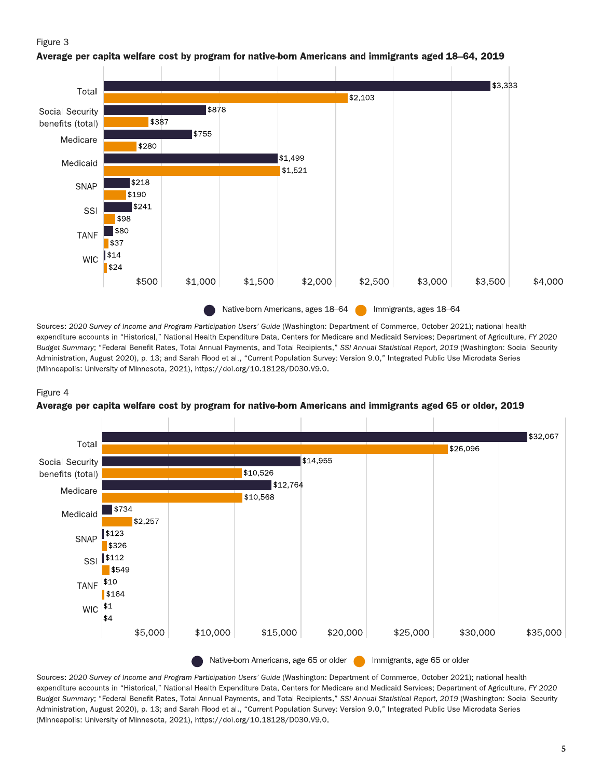## Figure 3



Average per capita welfare cost by program for native-born Americans and immigrants aged 18–64, 2019

Sources: 2020 Survey of Income and Program Participation Users' Guide (Washington: Department of Commerce, October 2021); national health expenditure accounts in "Historical," National Health Expenditure Data, Centers for Medicare and Medicaid Services; Department of Agriculture, FY 2020 Budget Summary; "Federal Benefit Rates, Total Annual Payments, and Total Recipients," SSI Annual Statistical Report, 2019 (Washington: Social Security Administration, August 2020), p. 13; and Sarah Flood et al., "Current Population Survey: Version 9.0," Integrated Public Use Microdata Series (Minneapolis: University of Minnesota, 2021), https://doi.org/10.18128/D030.V9.0.

#### Figure 4





Sources: 2020 Survey of Income and Program Participation Users' Guide (Washington: Department of Commerce, October 2021); national health expenditure accounts in "Historical," National Health Expenditure Data, Centers for Medicare and Medicaid Services; Department of Agriculture, FY 2020 Budget Summary; "Federal Benefit Rates, Total Annual Payments, and Total Recipients," SSI Annual Statistical Report, 2019 (Washington: Social Security Administration, August 2020), p. 13; and Sarah Flood et al., "Current Population Survey: Version 9.0," Integrated Public Use Microdata Series (Minneapolis: University of Minnesota, 2021), https://doi.org/10.18128/D030.V9.0.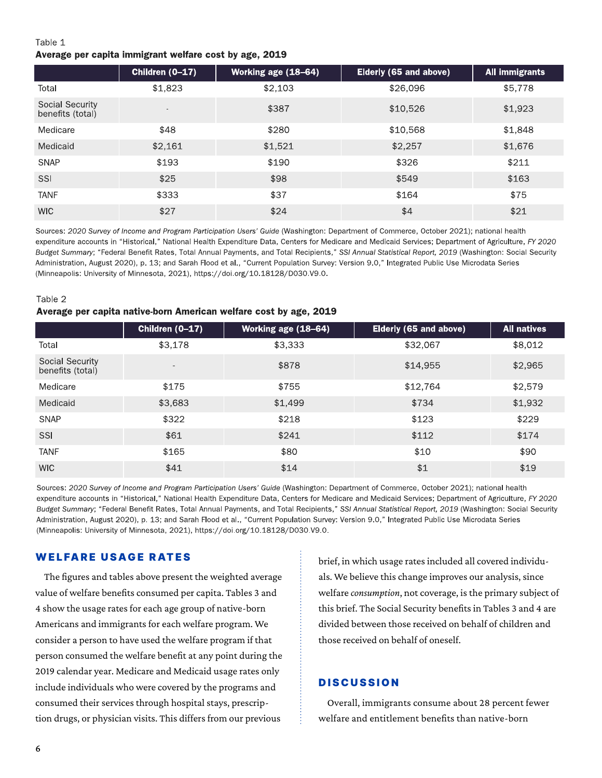# Table 1 Average per capita immigrant welfare cost by age, 2019

|                                            | Children (0-17) | Working age (18-64) | Elderly (65 and above) | <b>All immigrants</b> |
|--------------------------------------------|-----------------|---------------------|------------------------|-----------------------|
| Total                                      | \$1,823         | \$2,103             | \$26,096               | \$5,778               |
| <b>Social Security</b><br>benefits (total) | $\,$            | \$387               | \$10,526               | \$1,923               |
| Medicare                                   | \$48            | \$280               | \$10,568               | \$1,848               |
| Medicaid                                   | \$2,161         | \$1,521             | \$2,257                | \$1,676               |
| <b>SNAP</b>                                | \$193           | \$190               | \$326                  | \$211                 |
| SSI                                        | \$25            | \$98                | \$549                  | \$163                 |
| <b>TANF</b>                                | \$333           | \$37                | \$164                  | \$75                  |
| <b>WIC</b>                                 | \$27            | \$24                | \$4                    | \$21                  |

Sources: 2020 Survey of Income and Program Participation Users' Guide (Washington: Department of Commerce, October 2021); national health expenditure accounts in "Historical," National Health Expenditure Data, Centers for Medicare and Medicaid Services; Department of Agriculture, FY 2020 Budget Summary; "Federal Benefit Rates, Total Annual Payments, and Total Recipients," SSI Annual Statistical Report, 2019 (Washington: Social Security Administration, August 2020), p. 13; and Sarah Flood et al., "Current Population Survey: Version 9.0," Integrated Public Use Microdata Series (Minneapolis: University of Minnesota, 2021), https://doi.org/10.18128/D030.V9.0.

## Table 2

## Average per capita native-born American welfare cost by age, 2019

|                                     | Children (0-17)          | Working age (18-64) | Elderly (65 and above) | <b>All natives</b> |
|-------------------------------------|--------------------------|---------------------|------------------------|--------------------|
| Total                               | \$3,178                  | \$3,333             | \$32,067               | \$8,012            |
| Social Security<br>benefits (total) | $\overline{\phantom{a}}$ | \$878               | \$14,955               | \$2,965            |
| Medicare                            | \$175                    | \$755               | \$12,764               | \$2,579            |
| Medicaid                            | \$3,683                  | \$1,499             | \$734                  | \$1,932            |
| <b>SNAP</b>                         | \$322                    | \$218               | \$123                  | \$229              |
| SSI                                 | \$61                     | \$241               | \$112                  | \$174              |
| <b>TANF</b>                         | \$165                    | \$80                | \$10                   | \$90               |
| <b>WIC</b>                          | \$41                     | \$14                | \$1                    | \$19               |

Sources: 2020 Survey of Income and Program Participation Users' Guide (Washington: Department of Commerce, October 2021); national health expenditure accounts in "Historical," National Health Expenditure Data, Centers for Medicare and Medicaid Services; Department of Agriculture, FY 2020 Budget Summary; "Federal Benefit Rates, Total Annual Payments, and Total Recipients," SSI Annual Statistical Report, 2019 (Washington: Social Security Administration, August 2020), p. 13; and Sarah Flood et al., "Current Population Survey: Version 9.0," Integrated Public Use Microdata Series (Minneapolis: University of Minnesota, 2021), https://doi.org/10.18128/D030.V9.0.

# WELFARE USAGE RATES

The figures and tables above present the weighted average value of welfare benefits consumed per capita. Tables 3 and 4 show the usage rates for each age group of native-born Americans and immigrants for each welfare program. We consider a person to have used the welfare program if that person consumed the welfare benefit at any point during the 2019 calendar year. Medicare and Medicaid usage rates only include individuals who were covered by the programs and consumed their services through hospital stays, prescription drugs, or physician visits. This differs from our previous

brief, in which usage rates included all covered individuals. We believe this change improves our analysis, since welfare *consumption*, not coverage, is the primary subject of this brief. The Social Security benefits in Tables 3 and 4 are divided between those received on behalf of children and those received on behalf of oneself.

# **DISCUSSION**

Overall, immigrants consume about 28 percent fewer welfare and entitlement benefits than native-born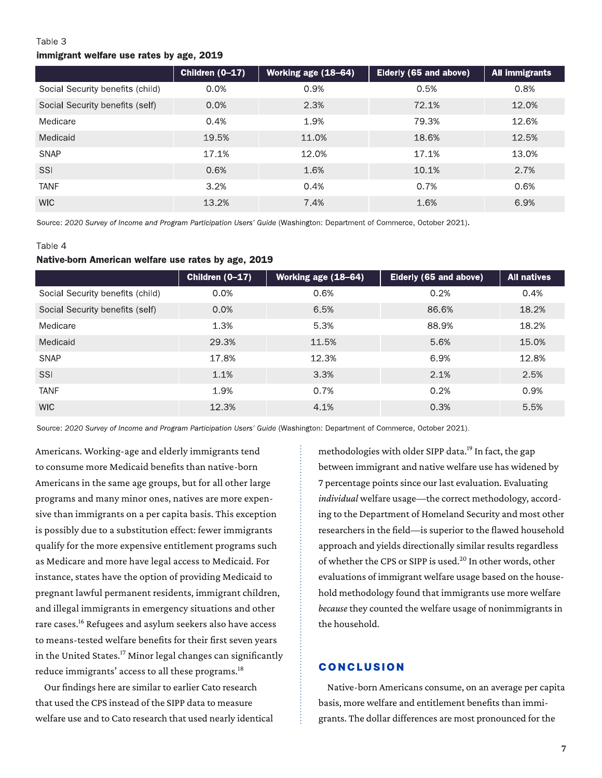#### Table 3

#### immigrant welfare use rates by age, 2019

|                                  | Children $(0-17)$ | Working age (18-64) | Elderly (65 and above) | <b>All immigrants</b> |
|----------------------------------|-------------------|---------------------|------------------------|-----------------------|
| Social Security benefits (child) | 0.0%              | 0.9%                | 0.5%                   | 0.8%                  |
| Social Security benefits (self)  | 0.0%              | 2.3%                | 72.1%                  | 12.0%                 |
| Medicare                         | 0.4%              | 1.9%                | 79.3%                  | 12.6%                 |
| Medicaid                         | 19.5%             | 11.0%               | 18.6%                  | 12.5%                 |
| <b>SNAP</b>                      | 17.1%             | 12.0%               | 17.1%                  | 13.0%                 |
| SSI                              | 0.6%              | 1.6%                | 10.1%                  | 2.7%                  |
| <b>TANF</b>                      | 3.2%              | 0.4%                | 0.7%                   | 0.6%                  |
| <b>WIC</b>                       | 13.2%             | 7.4%                | 1.6%                   | 6.9%                  |

Source: 2020 Survey of Income and Program Participation Users' Guide (Washington: Department of Commerce, October 2021).

#### Table 4

## Native-born American welfare use rates by age, 2019

|                                  | Children (0-17) | Working age (18-64) | Elderly (65 and above) | <b>All natives</b> |
|----------------------------------|-----------------|---------------------|------------------------|--------------------|
| Social Security benefits (child) | 0.0%            | 0.6%                | 0.2%                   | 0.4%               |
| Social Security benefits (self)  | 0.0%            | 6.5%                | 86.6%                  | 18.2%              |
| Medicare                         | 1.3%            | 5.3%                | 88.9%                  | 18.2%              |
| Medicaid                         | 29.3%           | 11.5%               | 5.6%                   | 15.0%              |
| <b>SNAP</b>                      | 17.8%           | 12.3%               | 6.9%                   | 12.8%              |
| SSI                              | 1.1%            | 3.3%                | 2.1%                   | 2.5%               |
| <b>TANF</b>                      | 1.9%            | 0.7%                | 0.2%                   | 0.9%               |
| <b>WIC</b>                       | 12.3%           | 4.1%                | 0.3%                   | 5.5%               |

Source: 2020 Survey of Income and Program Participation Users' Guide (Washington: Department of Commerce, October 2021).

Americans. Working-age and elderly immigrants tend to consume more Medicaid benefits than native-born Americans in the same age groups, but for all other large programs and many minor ones, natives are more expensive than immigrants on a per capita basis. This exception is possibly due to a substitution effect: fewer immigrants qualify for the more expensive entitlement programs such as Medicare and more have legal access to Medicaid. For instance, states have the option of providing Medicaid to pregnant lawful permanent residents, immigrant children, and illegal immigrants in emergency situations and other rare cases.16 Refugees and asylum seekers also have access to means-tested welfare benefits for their first seven years in the United States.<sup>17</sup> Minor legal changes can significantly reduce immigrants' access to all these programs.<sup>18</sup>

Our findings here are similar to earlier Cato research that used the CPS instead of the SIPP data to measure welfare use and to Cato research that used nearly identical

methodologies with older SIPP data.<sup>19</sup> In fact, the gap between immigrant and native welfare use has widened by 7 percentage points since our last evaluation. Evaluating *individual* welfare usage—the correct methodology, according to the Department of Homeland Security and most other researchers in the field—is superior to the flawed household approach and yields directionally similar results regardless of whether the CPS or SIPP is used.<sup>20</sup> In other words, other evaluations of immigrant welfare usage based on the household methodology found that immigrants use more welfare *because* they counted the welfare usage of nonimmigrants in the household.

## CONCLUSION

Native-born Americans consume, on an average per capita basis, more welfare and entitlement benefits than immigrants. The dollar differences are most pronounced for the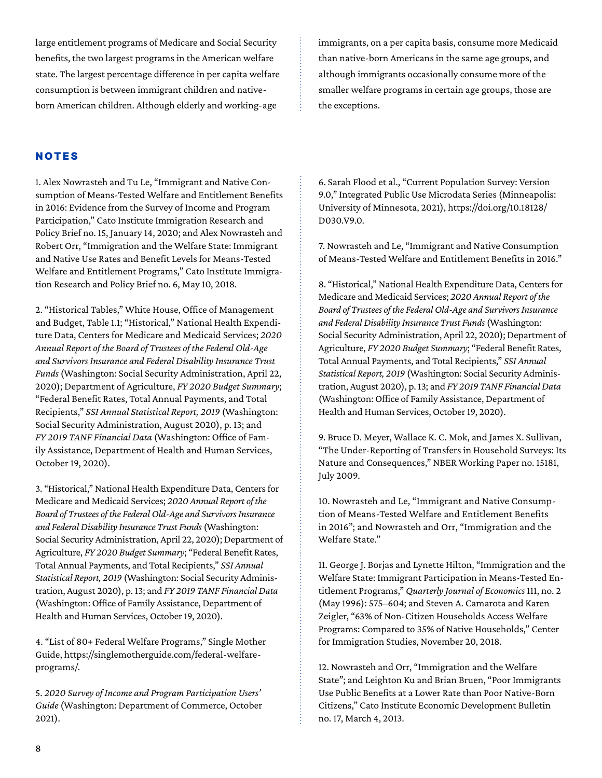large entitlement programs of Medicare and Social Security benefits, the two largest programs in the American welfare state. The largest percentage difference in per capita welfare consumption is between immigrant children and nativeborn American children. Although elderly and working-age

immigrants, on a per capita basis, consume more Medicaid than native-born Americans in the same age groups, and although immigrants occasionally consume more of the smaller welfare programs in certain age groups, those are the exceptions.

# NOTES

1. Alex Nowrasteh and Tu Le, "[Immigrant and Native Con](https://www.cato.org/publications/immigration-research-policy-brief/immigrant-native-consumption-means-tested-welfare)[sumption of Means-Tested Welfare and Entitlement Benefits](https://www.cato.org/publications/immigration-research-policy-brief/immigrant-native-consumption-means-tested-welfare) [in 2016: Evidence from the Survey of Income and Program](https://www.cato.org/publications/immigration-research-policy-brief/immigrant-native-consumption-means-tested-welfare)  [Participation](https://www.cato.org/publications/immigration-research-policy-brief/immigrant-native-consumption-means-tested-welfare)," Cato Institute Immigration Research and Policy Brief no. 15, January 14, 2020; and Alex Nowrasteh and Robert Orr, "[Immigration and the Welfare State: Immigrant](https://www.cato.org/immigration-research-policy-brief/immigration-welfare-state-immigrant-native-use-rates-benefit)  [and Native Use Rates and Benefit Levels for Means-Tested](https://www.cato.org/immigration-research-policy-brief/immigration-welfare-state-immigrant-native-use-rates-benefit)  [Welfare and Entitlement Programs](https://www.cato.org/immigration-research-policy-brief/immigration-welfare-state-immigrant-native-use-rates-benefit)," Cato Institute Immigration Research and Policy Brief no. 6, May 10, 2018.

2. "Historical Tables," White House, Office of Management and Budget, Table 1.1; "Historical," National Health Expenditure Data, Centers for Medicare and Medicaid Services; *2020 Annual Report of the Board of Trustees of the Federal Old-Age and Survivors Insurance and Federal Disability Insurance Trust Funds* (Washington: Social Security Administration, April 22, 2020); Department of Agriculture, *FY 2020 Budget Summary*; "Federal Benefit Rates, Total Annual Payments, and Total Recipients," *SSI Annual Statistical Report, 2019* (Washington: Social Security Administration, August 2020), p. 13; and *FY 2019 TANF Financial Data* (Washington: Office of Family Assistance, Department of Health and Human Services, October 19, 2020).

3. "Historical," National Health Expenditure Data, Centers for Medicare and Medicaid Services; *2020 Annual Report of the Board of Trustees of the Federal Old-Age and Survivors Insurance and Federal Disability Insurance Trust Funds* (Washington: Social Security Administration, April 22, 2020); Department of Agriculture, *FY 2020 Budget Summary*; "Federal Benefit Rates, Total Annual Payments, and Total Recipients," *SSI Annual Statistical Report, 2019* (Washington: Social Security Administration, August 2020), p. 13; and *FY 2019 TANF Financial Data* (Washington: Office of Family Assistance, Department of Health and Human Services, October 19, 2020).

4. "List of 80+ Federal Welfare Programs," Single Mother Guide, [https://singlemotherguide.com/federal-welfare](https://singlemotherguide.com/federal-welfare-programs/)[programs/](https://singlemotherguide.com/federal-welfare-programs/).

5. *2020 Survey of Income and Program Participation Users' Guide* (Washington: Department of Commerce, October 2021).

6. Sarah Flood et al., "Current Population Survey: Version 9.0," Integrated Public Use Microdata Series (Minneapolis: University of Minnesota, 2021), [https://doi.org/10.18128/](https://doi.org/10.18128/D030.V9.0) [D030.V9.0](https://doi.org/10.18128/D030.V9.0).

7. Nowrasteh and Le, "[Immigrant and Native Consumption](https://www.cato.org/publications/immigration-research-policy-brief/immigrant-native-consumption-means-tested-welfare)  [of Means-Tested Welfare and Entitlement Benefits in 2016](https://www.cato.org/publications/immigration-research-policy-brief/immigrant-native-consumption-means-tested-welfare)."

8. "Historical," National Health Expenditure Data, Centers for Medicare and Medicaid Services; *2020 Annual Report of the Board of Trustees of the Federal Old-Age and Survivors Insurance and Federal Disability Insurance Trust Funds* (Washington: Social Security Administration, April 22, 2020); Department of Agriculture, *FY 2020 Budget Summary*; "Federal Benefit Rates, Total Annual Payments, and Total Recipients," *SSI Annual Statistical Report, 2019* (Washington: Social Security Administration, August 2020), p. 13; and *FY 2019 TANF Financial Data* (Washington: Office of Family Assistance, Department of Health and Human Services, October 19, 2020).

9. Bruce D. Meyer, Wallace K. C. Mok, and James X. Sullivan, "The Under-Reporting of Transfers in Household Surveys: Its Nature and Consequences," NBER Working Paper no. 15181, July 2009.

10. Nowrasteh and Le, "[Immigrant and Native Consump](https://www.cato.org/publications/immigration-research-policy-brief/immigrant-native-consumption-means-tested-welfare)[tion of Means-Tested Welfare and Entitlement Benefits](https://www.cato.org/publications/immigration-research-policy-brief/immigrant-native-consumption-means-tested-welfare)  [in 2016](https://www.cato.org/publications/immigration-research-policy-brief/immigrant-native-consumption-means-tested-welfare)"; and Nowrasteh and Orr, ["Immigration and the](https://www.cato.org/immigration-research-policy-brief/immigration-welfare-state-immigrant-native-use-rates-benefit)  [Welfare State.](https://www.cato.org/immigration-research-policy-brief/immigration-welfare-state-immigrant-native-use-rates-benefit)"

11. George J. Borjas and Lynette Hilton, "Immigration and the Welfare State: Immigrant Participation in Means-Tested Entitlement Programs," *Quarterly Journal of Economics* 111, no. 2 (May 1996): 575–604; and Steven A. Camarota and Karen Zeigler, "63% of Non-Citizen Households Access Welfare Programs: Compared to 35% of Native Households," Center for Immigration Studies, November 20, 2018.

12. Nowrasteh and Orr, ["Immigration and the Welfare](https://www.cato.org/immigration-research-policy-brief/immigration-welfare-state-immigrant-native-use-rates-benefit)  [State](https://www.cato.org/immigration-research-policy-brief/immigration-welfare-state-immigrant-native-use-rates-benefit)"; and Leighton Ku and Brian Bruen, ["Poor Immigrants](https://www.cato.org/publications/economic-development-bulletin/poor-immigrants-use-public-benefits-lower-rate-poor)  [Use Public Benefits at a Lower Rate than Poor Native-Born](https://www.cato.org/publications/economic-development-bulletin/poor-immigrants-use-public-benefits-lower-rate-poor)  [Citizens](https://www.cato.org/publications/economic-development-bulletin/poor-immigrants-use-public-benefits-lower-rate-poor)," Cato Institute Economic Development Bulletin no. 17, March 4, 2013.